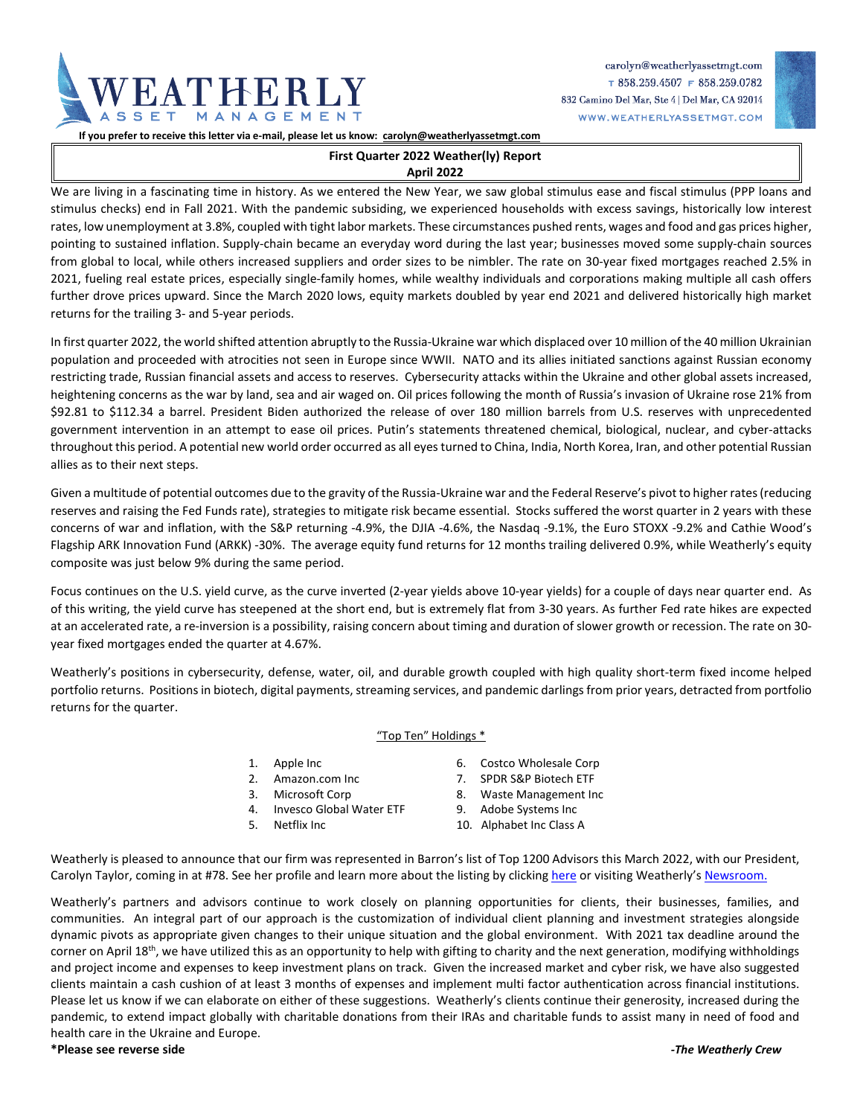

carolyn@weatherlyassetmgt.com  $T858.259.4507$  F 858.259.0782 832 Camino Del Mar, Ste 4 | Del Mar, CA 92014 WWW.WEATHERLYASSETMGT.COM

**If you prefer to receive this letter via e-mail, please let us know: [carolyn@weatherlyassetmgt.com](mailto:carolyn@weatherlyassetmgt.com)**

# **First Quarter 2022 Weather(ly) Report**

# **April 2022**

We are living in a fascinating time in history. As we entered the New Year, we saw global stimulus ease and fiscal stimulus (PPP loans and stimulus checks) end in Fall 2021. With the pandemic subsiding, we experienced households with excess savings, historically low interest rates, low unemployment at 3.8%, coupled with tight labor markets. These circumstances pushed rents, wages and food and gas prices higher, pointing to sustained inflation. Supply-chain became an everyday word during the last year; businesses moved some supply-chain sources from global to local, while others increased suppliers and order sizes to be nimbler. The rate on 30-year fixed mortgages reached 2.5% in 2021, fueling real estate prices, especially single-family homes, while wealthy individuals and corporations making multiple all cash offers further drove prices upward. Since the March 2020 lows, equity markets doubled by year end 2021 and delivered historically high market returns for the trailing 3- and 5-year periods.

In first quarter 2022, the world shifted attention abruptly to the Russia-Ukraine war which displaced over 10 million of the 40 million Ukrainian population and proceeded with atrocities not seen in Europe since WWII. NATO and its allies initiated sanctions against Russian economy restricting trade, Russian financial assets and access to reserves. Cybersecurity attacks within the Ukraine and other global assets increased, heightening concerns as the war by land, sea and air waged on. Oil prices following the month of Russia's invasion of Ukraine rose 21% from \$92.81 to \$112.34 a barrel. President Biden authorized the release of over 180 million barrels from U.S. reserves with unprecedented government intervention in an attempt to ease oil prices. Putin's statements threatened chemical, biological, nuclear, and cyber-attacks throughout this period. A potential new world order occurred as all eyes turned to China, India, North Korea, Iran, and other potential Russian allies as to their next steps.

Given a multitude of potential outcomes due to the gravity of the Russia-Ukraine war and the Federal Reserve's pivot to higher rates (reducing reserves and raising the Fed Funds rate), strategies to mitigate risk became essential. Stocks suffered the worst quarter in 2 years with these concerns of war and inflation, with the S&P returning -4.9%, the DJIA -4.6%, the Nasdaq -9.1%, the Euro STOXX -9.2% and Cathie Wood's Flagship ARK Innovation Fund (ARKK) -30%. The average equity fund returns for 12 months trailing delivered 0.9%, while Weatherly's equity composite was just below 9% during the same period.

Focus continues on the U.S. yield curve, as the curve inverted (2-year yields above 10-year yields) for a couple of days near quarter end. As of this writing, the yield curve has steepened at the short end, but is extremely flat from 3-30 years. As further Fed rate hikes are expected at an accelerated rate, a re-inversion is a possibility, raising concern about timing and duration of slower growth or recession. The rate on 30 year fixed mortgages ended the quarter at 4.67%.

Weatherly's positions in cybersecurity, defense, water, oil, and durable growth coupled with high quality short-term fixed income helped portfolio returns. Positions in biotech, digital payments, streaming services, and pandemic darlings from prior years, detracted from portfolio returns for the quarter.

## "Top Ten" Holdings \*

- 
- 
- 
- 4. Invesco Global Water ETF 9. Adobe Systems Inc
- 
- 1. Apple Inc 6. Costco Wholesale Corp
- 2. Amazon.com Inc 7. SPDR S&P Biotech ETF
- 3. Microsoft Corp 2. Waste Management Inc
	-
- 5. Netflix Inc 2012 10. Alphabet Inc Class A

Weatherly is pleased to announce that our firm was represented in Barron's list of Top 1200 Advisors this March 2022, with our President, Carolyn Taylor, coming in at #78. See her profile and learn more about the listing by clickin[g here](https://3b4nu03zhqkr21euttbrqaxm-wpengine.netdna-ssl.com/wp-content/uploads/2022/04/2022_BARRONS_TOP1200_REPRINT.pdf) or visiting Weatherly's [Newsroom.](https://www.weatherlyassetmgt.com/newsroom/)

Weatherly's partners and advisors continue to work closely on planning opportunities for clients, their businesses, families, and communities. An integral part of our approach is the customization of individual client planning and investment strategies alongside dynamic pivots as appropriate given changes to their unique situation and the global environment. With 2021 tax deadline around the corner on April 18<sup>th</sup>, we have utilized this as an opportunity to help with gifting to charity and the next generation, modifying withholdings and project income and expenses to keep investment plans on track. Given the increased market and cyber risk, we have also suggested clients maintain a cash cushion of at least 3 months of expenses and implement multi factor authentication across financial institutions. Please let us know if we can elaborate on either of these suggestions. Weatherly's clients continue their generosity, increased during the pandemic, to extend impact globally with charitable donations from their IRAs and charitable funds to assist many in need of food and health care in the Ukraine and Europe.

**\*Please see reverse side** *-The Weatherly Crew*